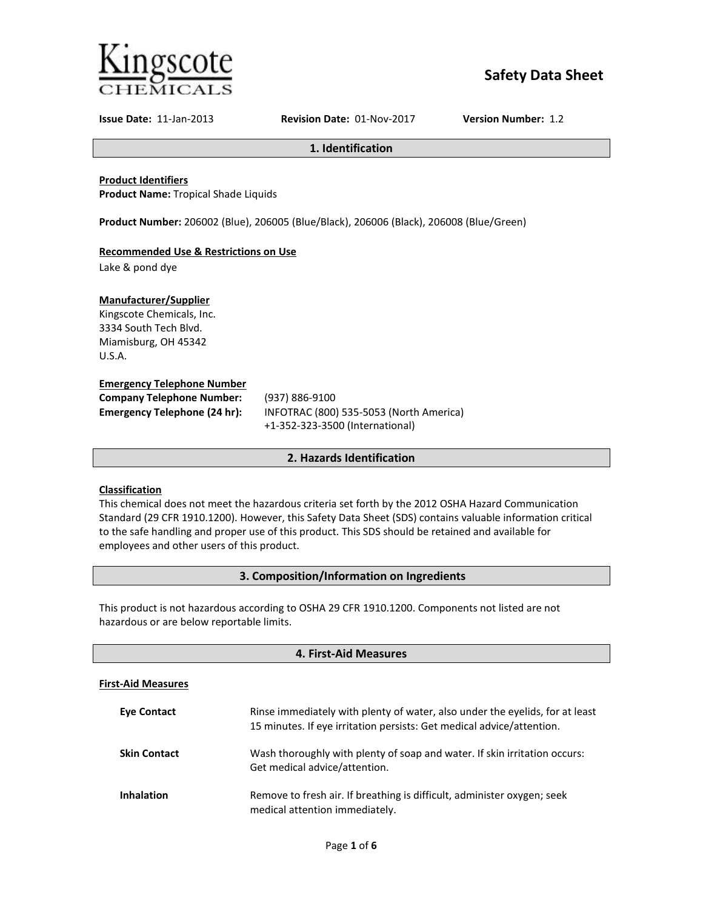

# **Safety Data Sheet**

**Issue Date:** 11-Jan-2013 **Revision Date:** 01-Nov-2017 **Version Number:** 1.2

**1. Identification**

**Product Identifiers**

**Product Name:** Tropical Shade Liquids

**Product Number:** 206002 (Blue), 206005 (Blue/Black), 206006 (Black), 206008 (Blue/Green)

# **Recommended Use & Restrictions on Use**

Lake & pond dye

# **Manufacturer/Supplier**

Kingscote Chemicals, Inc. 3334 South Tech Blvd. Miamisburg, OH 45342 U.S.A.

# **Emergency Telephone Number**

| <b>Company Telephone Number:</b> | (937) 886-9100                          |
|----------------------------------|-----------------------------------------|
| Emergency Telephone (24 hr):     | INFOTRAC (800) 535-5053 (North America) |
|                                  | $(1.252227500$ isometic set             |

+1-352-323-3500 (International)

# **2. Hazards Identification**

# **Classification**

This chemical does not meet the hazardous criteria set forth by the 2012 OSHA Hazard Communication Standard (29 CFR 1910.1200). However, this Safety Data Sheet (SDS) contains valuable information critical to the safe handling and proper use of this product. This SDS should be retained and available for employees and other users of this product.

# **3. Composition/Information on Ingredients**

This product is not hazardous according to OSHA 29 CFR 1910.1200. Components not listed are not hazardous or are below reportable limits.

| 4. First-Aid Measures     |                                                                                                                                                       |  |
|---------------------------|-------------------------------------------------------------------------------------------------------------------------------------------------------|--|
| <b>First-Aid Measures</b> |                                                                                                                                                       |  |
| <b>Eve Contact</b>        | Rinse immediately with plenty of water, also under the eyelids, for at least<br>15 minutes. If eye irritation persists: Get medical advice/attention. |  |
| <b>Skin Contact</b>       | Wash thoroughly with plenty of soap and water. If skin irritation occurs:<br>Get medical advice/attention.                                            |  |
| <b>Inhalation</b>         | Remove to fresh air. If breathing is difficult, administer oxygen; seek<br>medical attention immediately.                                             |  |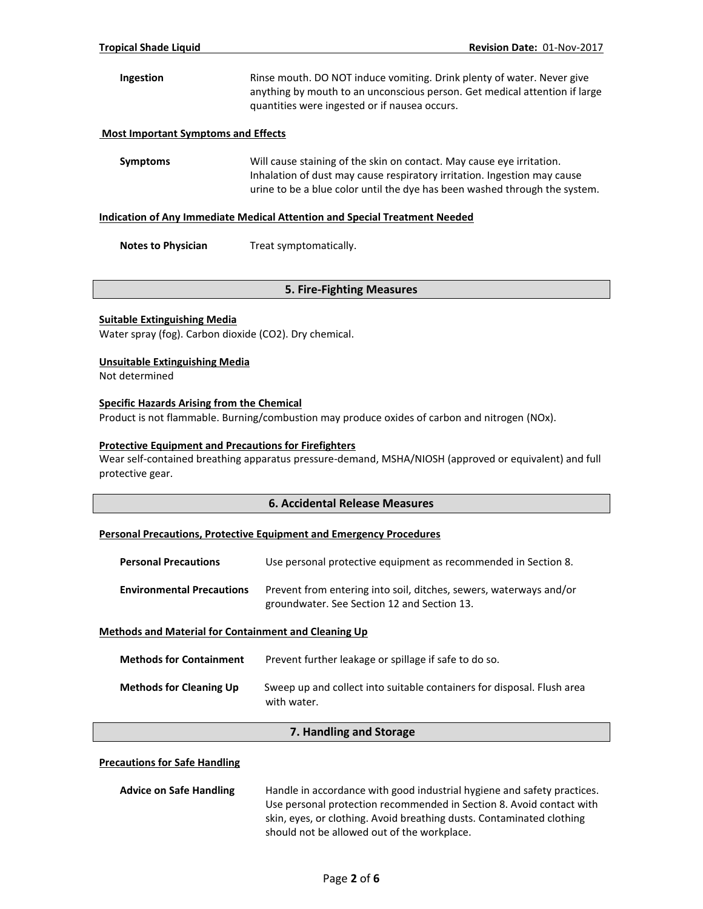# **Ingestion** Rinse mouth. DO NOT induce vomiting. Drink plenty of water. Never give anything by mouth to an unconscious person. Get medical attention if large quantities were ingested or if nausea occurs.

### **Most Important Symptoms and Effects**

**Symptoms** Will cause staining of the skin on contact. May cause eye irritation. Inhalation of dust may cause respiratory irritation. Ingestion may cause urine to be a blue color until the dye has been washed through the system.

#### **Indication of Any Immediate Medical Attention and Special Treatment Needed**

**Notes to Physician** Treat symptomatically.

# **5. Fire-Fighting Measures**

#### **Suitable Extinguishing Media**

Water spray (fog). Carbon dioxide (CO2). Dry chemical.

#### **Unsuitable Extinguishing Media**

Not determined

# **Specific Hazards Arising from the Chemical**

Product is not flammable. Burning/combustion may produce oxides of carbon and nitrogen (NOx).

#### **Protective Equipment and Precautions for Firefighters**

Wear self-contained breathing apparatus pressure-demand, MSHA/NIOSH (approved or equivalent) and full protective gear.

# **6. Accidental Release Measures**

#### **Personal Precautions, Protective Equipment and Emergency Procedures**

| <b>Personal Precautions</b>      | Use personal protective equipment as recommended in Section 8.                                                    |
|----------------------------------|-------------------------------------------------------------------------------------------------------------------|
| <b>Environmental Precautions</b> | Prevent from entering into soil, ditches, sewers, waterways and/or<br>groundwater. See Section 12 and Section 13. |

#### **Methods and Material for Containment and Cleaning Up**

| <b>Methods for Containment</b> | Prevent further leakage or spillage if safe to do so.                                 |
|--------------------------------|---------------------------------------------------------------------------------------|
| <b>Methods for Cleaning Up</b> | Sweep up and collect into suitable containers for disposal. Flush area<br>with water. |

# **7. Handling and Storage**

#### **Precautions for Safe Handling**

| <b>Advice on Safe Handling</b> | Handle in accordance with good industrial hygiene and safety practices. |  |
|--------------------------------|-------------------------------------------------------------------------|--|
|                                | Use personal protection recommended in Section 8. Avoid contact with    |  |
|                                | skin, eyes, or clothing. Avoid breathing dusts. Contaminated clothing   |  |
|                                | should not be allowed out of the workplace.                             |  |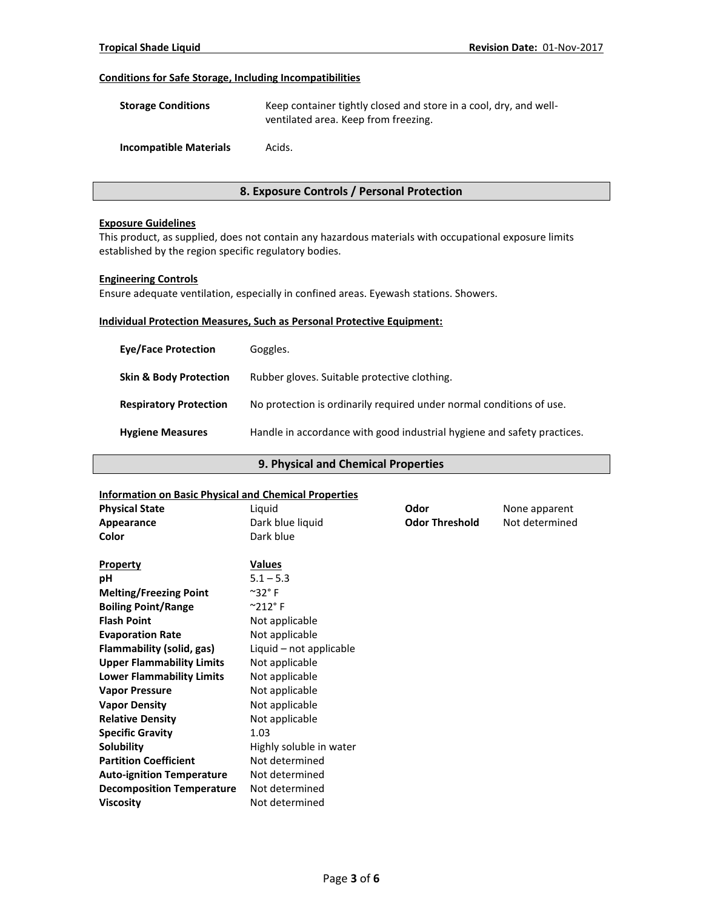# **Conditions for Safe Storage, Including Incompatibilities**

| <b>Storage Conditions</b>     | Keep container tightly closed and store in a cool, dry, and well-<br>ventilated area. Keep from freezing. |  |
|-------------------------------|-----------------------------------------------------------------------------------------------------------|--|
| <b>Incompatible Materials</b> | Acids.                                                                                                    |  |

**8. Exposure Controls / Personal Protection**

#### **Exposure Guidelines**

This product, as supplied, does not contain any hazardous materials with occupational exposure limits established by the region specific regulatory bodies.

# **Engineering Controls**

Ensure adequate ventilation, especially in confined areas. Eyewash stations. Showers.

# **Individual Protection Measures, Such as Personal Protective Equipment:**

| <b>Eve/Face Protection</b>        | Goggles.                                                                |
|-----------------------------------|-------------------------------------------------------------------------|
| <b>Skin &amp; Body Protection</b> | Rubber gloves. Suitable protective clothing.                            |
| <b>Respiratory Protection</b>     | No protection is ordinarily required under normal conditions of use.    |
| <b>Hygiene Measures</b>           | Handle in accordance with good industrial hygiene and safety practices. |

# **9. Physical and Chemical Properties**

#### **Information on Basic Physical and Chemical Properties**

| information on Basic Physical and Chemical Properties |                           |                       |                |
|-------------------------------------------------------|---------------------------|-----------------------|----------------|
| <b>Physical State</b>                                 | Liquid                    | Odor                  | None apparent  |
| Appearance                                            | Dark blue liquid          | <b>Odor Threshold</b> | Not determined |
| Color                                                 | Dark blue                 |                       |                |
| <b>Property</b>                                       | <b>Values</b>             |                       |                |
| рH                                                    | $5.1 - 5.3$               |                       |                |
| <b>Melting/Freezing Point</b>                         | $^{\sim}$ 32° F           |                       |                |
| <b>Boiling Point/Range</b>                            | $^{\circ}212^{\circ}$ F   |                       |                |
| <b>Flash Point</b>                                    | Not applicable            |                       |                |
| <b>Evaporation Rate</b>                               | Not applicable            |                       |                |
| Flammability (solid, gas)                             | Liquid $-$ not applicable |                       |                |
| <b>Upper Flammability Limits</b>                      | Not applicable            |                       |                |
| <b>Lower Flammability Limits</b>                      | Not applicable            |                       |                |
| <b>Vapor Pressure</b>                                 | Not applicable            |                       |                |
| <b>Vapor Density</b>                                  | Not applicable            |                       |                |
| <b>Relative Density</b>                               | Not applicable            |                       |                |
| <b>Specific Gravity</b>                               | 1.03                      |                       |                |
| Solubility                                            | Highly soluble in water   |                       |                |
| <b>Partition Coefficient</b>                          | Not determined            |                       |                |
| <b>Auto-ignition Temperature</b>                      | Not determined            |                       |                |
| <b>Decomposition Temperature</b>                      | Not determined            |                       |                |
| <b>Viscosity</b>                                      | Not determined            |                       |                |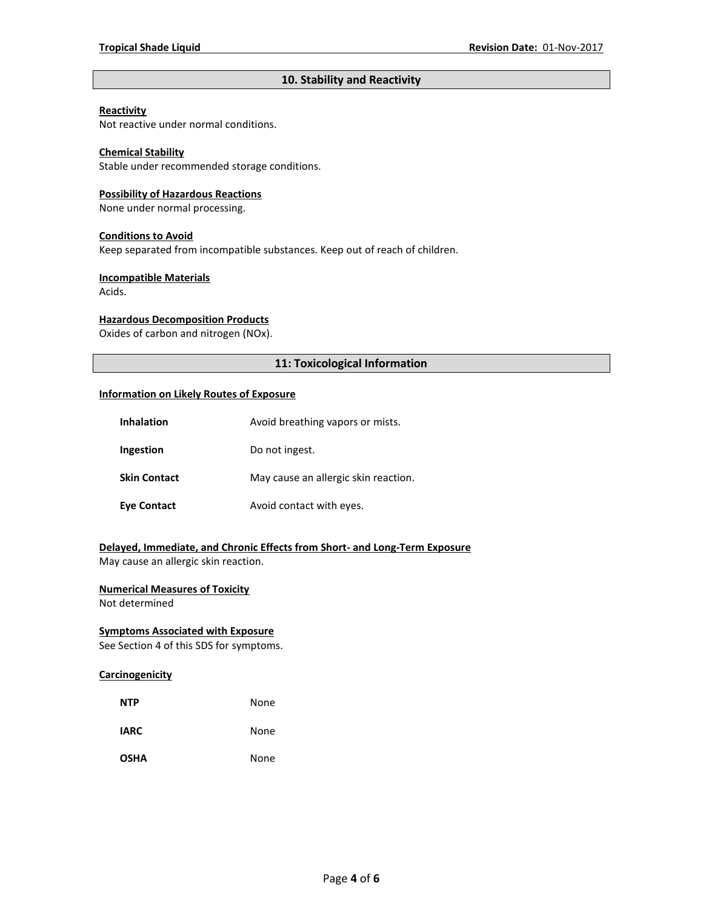# **10. Stability and Reactivity**

#### **Reactivity**

Not reactive under normal conditions.

# **Chemical Stability**

Stable under recommended storage conditions.

#### **Possibility of Hazardous Reactions**

None under normal processing.

#### **Conditions to Avoid**

Keep separated from incompatible substances. Keep out of reach of children.

#### **Incompatible Materials**

Acids.

# **Hazardous Decomposition Products**

Oxides of carbon and nitrogen (NOx).

# **11: Toxicological Information**

#### **Information on Likely Routes of Exposure**

| <b>Inhalation</b>   | Avoid breathing vapors or mists.     |
|---------------------|--------------------------------------|
| Ingestion           | Do not ingest.                       |
| <b>Skin Contact</b> | May cause an allergic skin reaction. |
| <b>Eye Contact</b>  | Avoid contact with eyes.             |

# **Delayed, Immediate, and Chronic Effects from Short- and Long-Term Exposure**

May cause an allergic skin reaction.

# **Numerical Measures of Toxicity**

Not determined

# **Symptoms Associated with Exposure**

See Section 4 of this SDS for symptoms.

# **Carcinogenicity**

| <b>NTP</b>  | None |
|-------------|------|
| <b>IARC</b> | None |
| <b>OSHA</b> | None |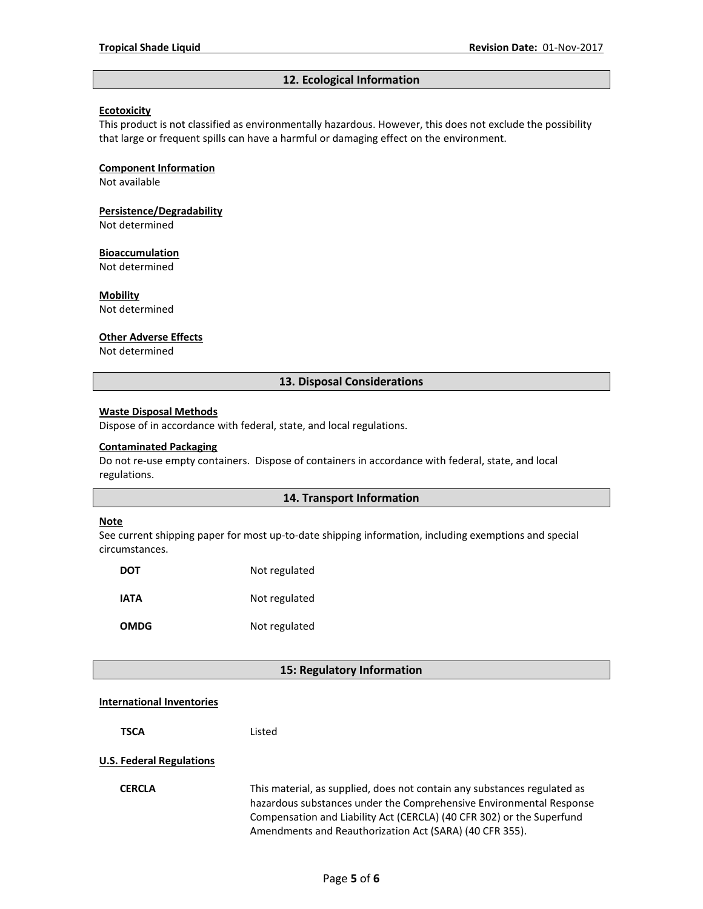## **12. Ecological Information**

#### **Ecotoxicity**

This product is not classified as environmentally hazardous. However, this does not exclude the possibility that large or frequent spills can have a harmful or damaging effect on the environment.

#### **Component Information**

Not available

# **Persistence/Degradability**

Not determined

#### **Bioaccumulation**

Not determined

#### **Mobility**

Not determined

#### **Other Adverse Effects**

Not determined

# **13. Disposal Considerations**

#### **Waste Disposal Methods**

Dispose of in accordance with federal, state, and local regulations.

#### **Contaminated Packaging**

Do not re-use empty containers.Dispose of containers in accordance with federal, state, and local regulations.

#### **14. Transport Information**

#### **Note**

See current shipping paper for most up-to-date shipping information, including exemptions and special circumstances.

| <b>DOT</b>  | Not regulated |
|-------------|---------------|
| IATA        | Not regulated |
| <b>OMDG</b> | Not regulated |

# **15: Regulatory Information**

#### **International Inventories**

**TSCA** Listed

#### **U.S. Federal Regulations**

**CERCLA** This material, as supplied, does not contain any substances regulated as hazardous substances under the Comprehensive Environmental Response Compensation and Liability Act (CERCLA) (40 CFR 302) or the Superfund Amendments and Reauthorization Act (SARA) (40 CFR 355).